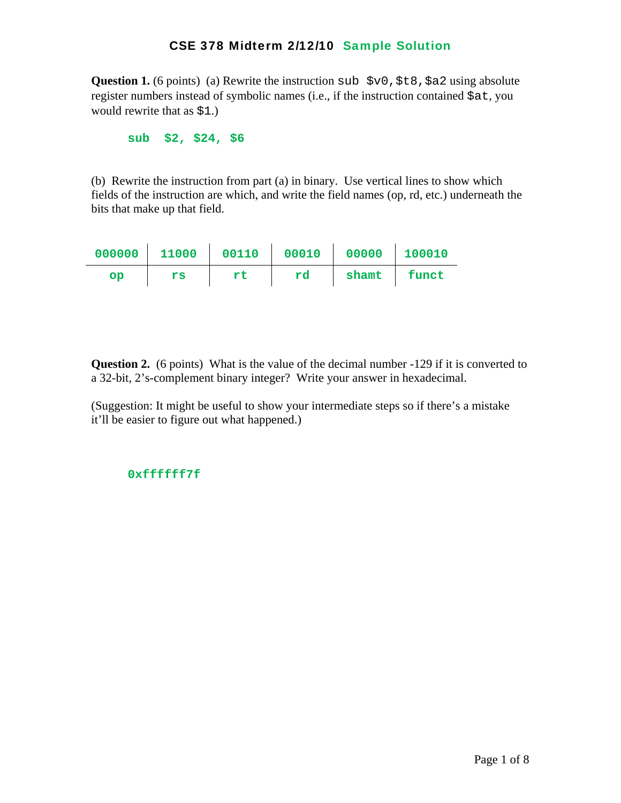**Question 1.** (6 points) (a) Rewrite the instruction sub  $$v0$ ,  $$t8$ ,  $$a2$  using absolute register numbers instead of symbolic names (i.e., if the instruction contained \$at, you would rewrite that as \$1.)

 **sub \$2, \$24, \$6** 

(b) Rewrite the instruction from part (a) in binary. Use vertical lines to show which fields of the instruction are which, and write the field names (op, rd, etc.) underneath the bits that make up that field.

| 000000 | 11000 00110 |    | 00010 | 00000   100010 |         |
|--------|-------------|----|-------|----------------|---------|
| OD     | rs          | rt | rd    | shamt          | l funct |

**Question 2.** (6 points) What is the value of the decimal number -129 if it is converted to a 32-bit, 2's-complement binary integer? Write your answer in hexadecimal.

(Suggestion: It might be useful to show your intermediate steps so if there's a mistake it'll be easier to figure out what happened.)

#### **0xffffff7f**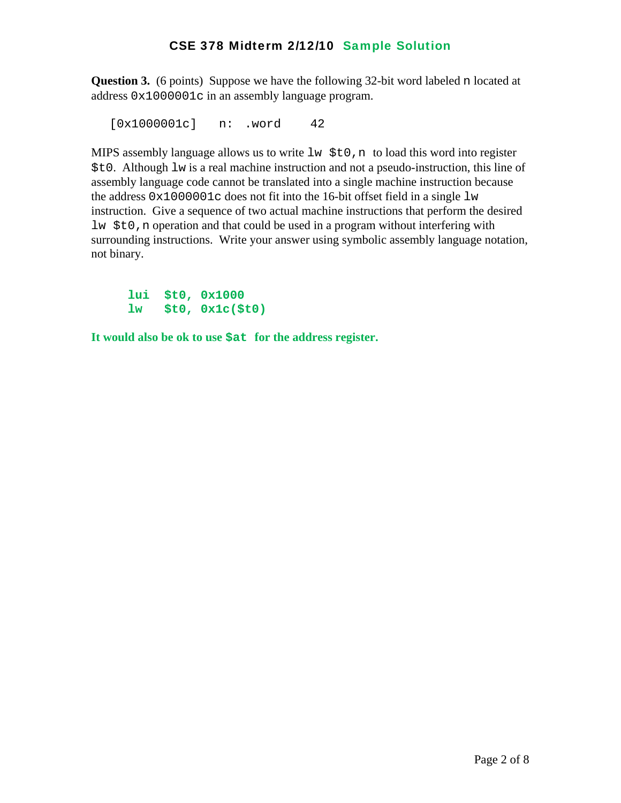**Question 3.** (6 points) Suppose we have the following 32-bit word labeled n located at address 0x1000001c in an assembly language program.

[0x1000001c] n: .word 42

MIPS assembly language allows us to write  $\exists w \xi \in 0$ , n to load this word into register \$t0. Although lw is a real machine instruction and not a pseudo-instruction, this line of assembly language code cannot be translated into a single machine instruction because the address  $0 \times 1000001c$  does not fit into the 16-bit offset field in a single  $1w$ instruction. Give a sequence of two actual machine instructions that perform the desired lw \$t0,n operation and that could be used in a program without interfering with surrounding instructions. Write your answer using symbolic assembly language notation, not binary.

 **lui \$t0, 0x1000 lw \$t0, 0x1c(\$t0)** 

**It would also be ok to use \$at for the address register.**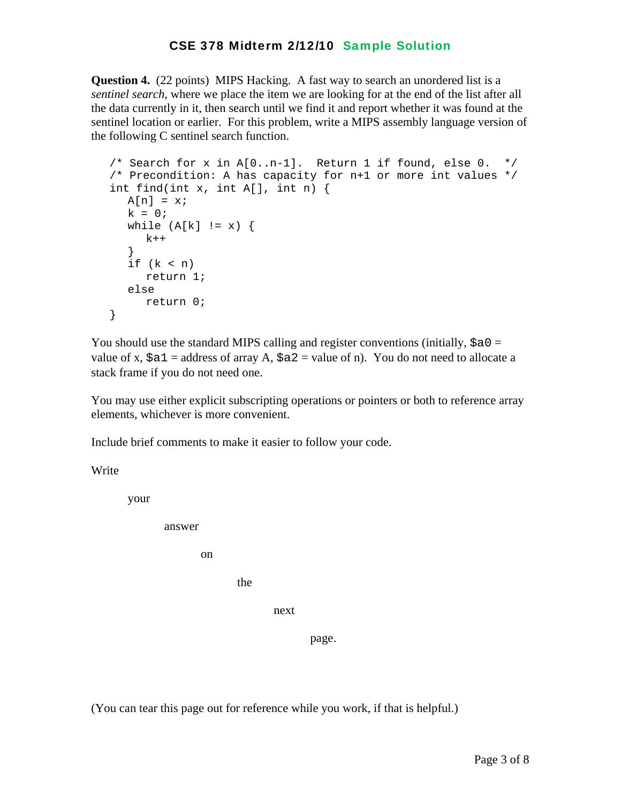**Question 4.** (22 points) MIPS Hacking. A fast way to search an unordered list is a *sentinel search*, where we place the item we are looking for at the end of the list after all the data currently in it, then search until we find it and report whether it was found at the sentinel location or earlier. For this problem, write a MIPS assembly language version of the following C sentinel search function.

```
/* Search for x in A[0..n-1]. Return 1 if found, else 0. */
 /* Precondition: A has capacity for n+1 or more int values */ 
 int find(int x, int A[], int n) { 
  A[n] = x;k = 0;while (A[k] := x) {
     k++ } 
  if (k < n) return 1; 
   else 
      return 0; 
 }
```
You should use the standard MIPS calling and register conventions (initially,  $\frac{1}{2}a0 =$ value of x,  $\xi a1$  = address of array A,  $\xi a2$  = value of n). You do not need to allocate a stack frame if you do not need one.

You may use either explicit subscripting operations or pointers or both to reference array elements, whichever is more convenient.

Include brief comments to make it easier to follow your code.

Write

your

answer

on

the state of the state of the state of the state of the state of the state of the state of the state of the state of the state of the state of the state of the state of the state of the state of the state of the state of t

next

page.

(You can tear this page out for reference while you work, if that is helpful.)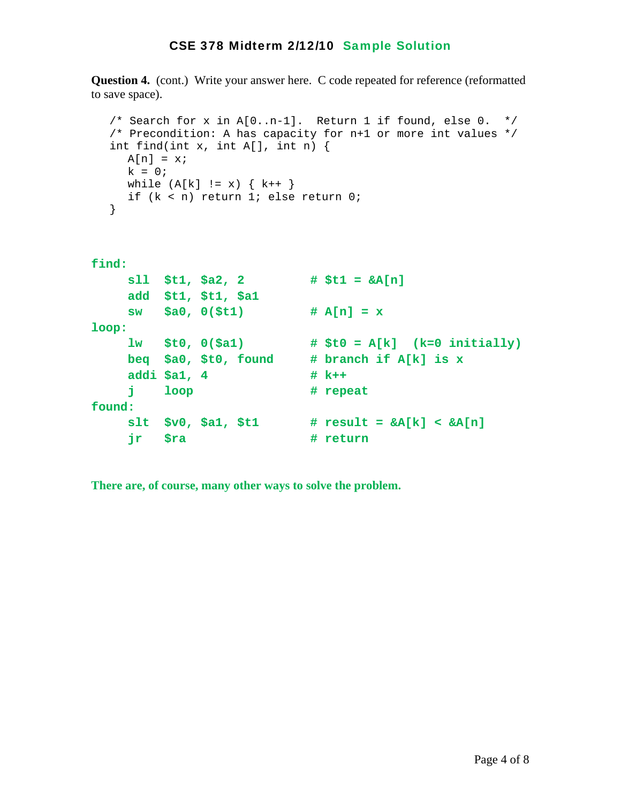**Question 4.** (cont.) Write your answer here. C code repeated for reference (reformatted to save space).

```
 /* Search for x in A[0..n-1]. Return 1 if found, else 0. */ 
   /* Precondition: A has capacity for n+1 or more int values */ 
   int find(int x, int A[], int n) { 
     A[n] = x;k = 0;while (A[k] := x) \{ k++ \} if (k < n) return 1; else return 0; 
   } 
find: 
      sll $t1, $a2, 2 # $t1 = &A[n] 
      add $t1, $t1, $a1
```

```
 sw $a0, 0($t1) # A[n] = x 
loop: 
    lw $t0, 0($a1) # $t0 = A[k] (k=0 initially) 
    beq $a0, $t0, found # branch if A[k] is x 
   addi $a1, 4 # k++
   i loop # repeat
found: 
    slt $v0, $a1, $t1 # result = &A[k] < &A[n] 
    jr $ra # return
```
**There are, of course, many other ways to solve the problem.**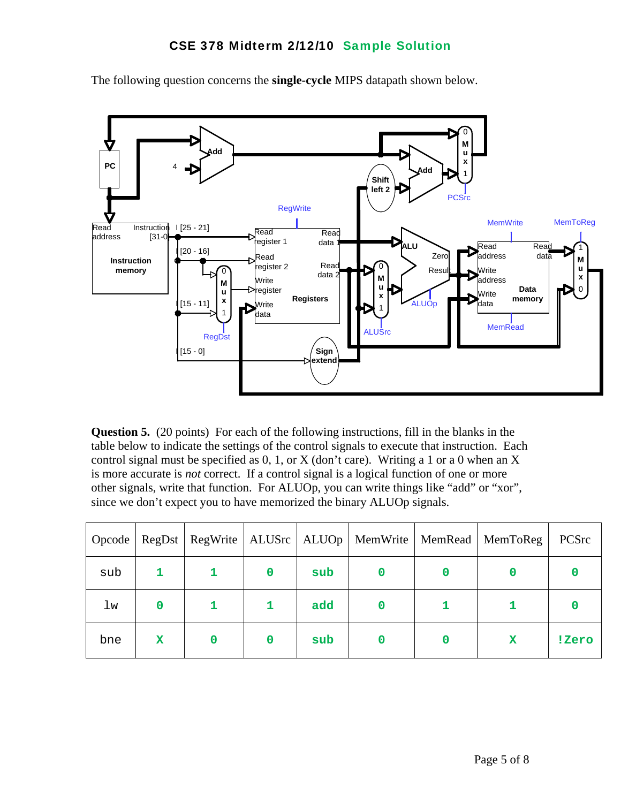

The following question concerns the **single-cycle** MIPS datapath shown below.

**Question 5.** (20 points) For each of the following instructions, fill in the blanks in the table below to indicate the settings of the control signals to execute that instruction. Each control signal must be specified as  $0, 1$ , or X (don't care). Writing a 1 or a 0 when an X is more accurate is *not* correct. If a control signal is a logical function of one or more other signals, write that function. For ALUOp, you can write things like "add" or "xor", since we don't expect you to have memorized the binary ALUOp signals.

| <b>Opcode</b> |             |          |     |  | RegDst   RegWrite   ALUSrc   ALUOp   MemWrite   MemRead   MemToReg | PCSrc |
|---------------|-------------|----------|-----|--|--------------------------------------------------------------------|-------|
| sub           |             |          | sub |  |                                                                    |       |
| lw            | $\mathbf 0$ |          | add |  |                                                                    |       |
| bne           | x           | $\Omega$ | sub |  | x                                                                  | !Zero |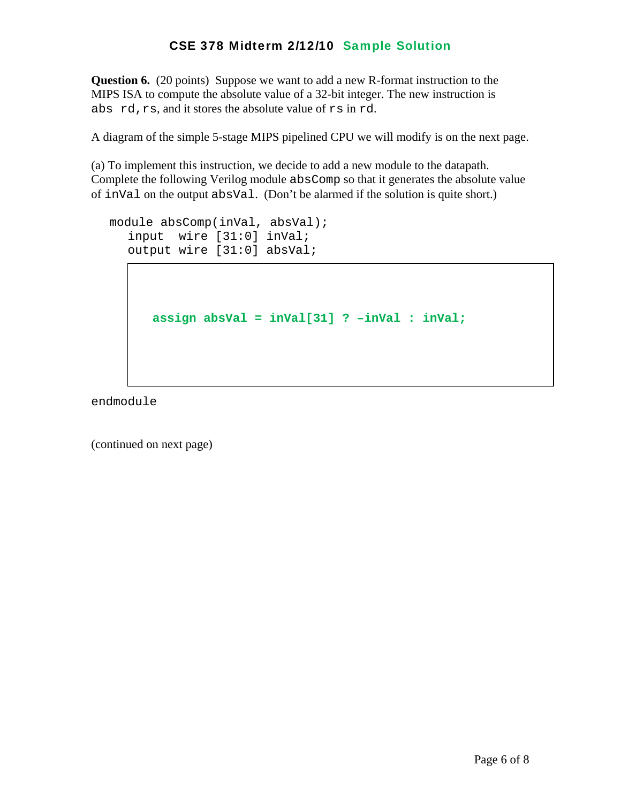**Question 6.** (20 points) Suppose we want to add a new R-format instruction to the MIPS ISA to compute the absolute value of a 32-bit integer. The new instruction is abs rd,rs, and it stores the absolute value of rs in rd.

A diagram of the simple 5-stage MIPS pipelined CPU we will modify is on the next page.

(a) To implement this instruction, we decide to add a new module to the datapath. Complete the following Verilog module absComp so that it generates the absolute value of inVal on the output absVal. (Don't be alarmed if the solution is quite short.)

```
 module absComp(inVal, absVal); 
   input wire [31:0] inVal; 
   output wire [31:0] absVal;
```

```
assign absVal = inVal[31] ? –inVal : inVal;
```
endmodule

(continued on next page)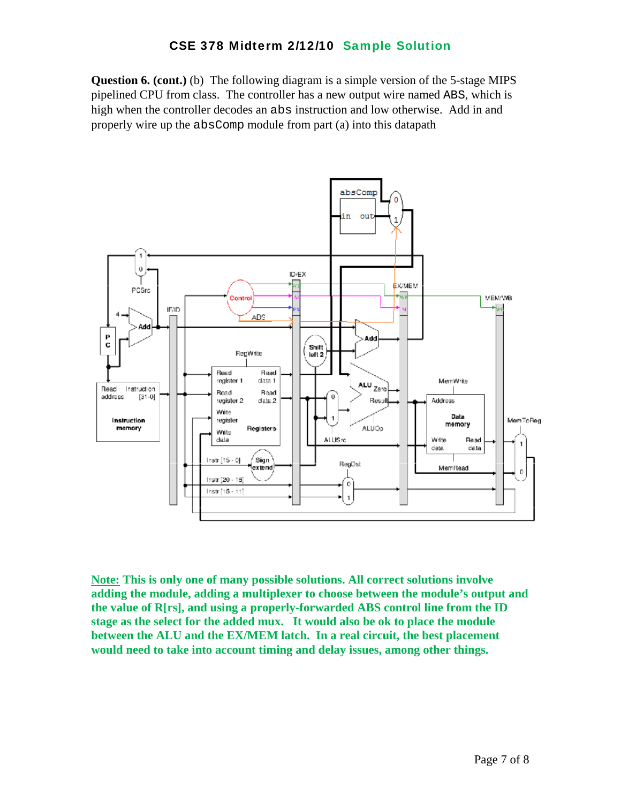**Question 6. (cont.)** (b) The following diagram is a simple version of the 5-stage MIPS pipelined CPU from class. The controller has a new output wire named ABS, which is high when the controller decodes an abs instruction and low otherwise. Add in and properly wire up the absComp module from part (a) into this datapath



**Note: This is only one of many possible solutions. All correct solutions involve adding the module, adding a multiplexer to choose between the module's output and the value of R[rs], and using a properly-forwarded ABS control line from the ID stage as the select for the added mux. It would also be ok to place the module between the ALU and the EX/MEM latch. In a real circuit, the best placement would need to take into account timing and delay issues, among other things.**